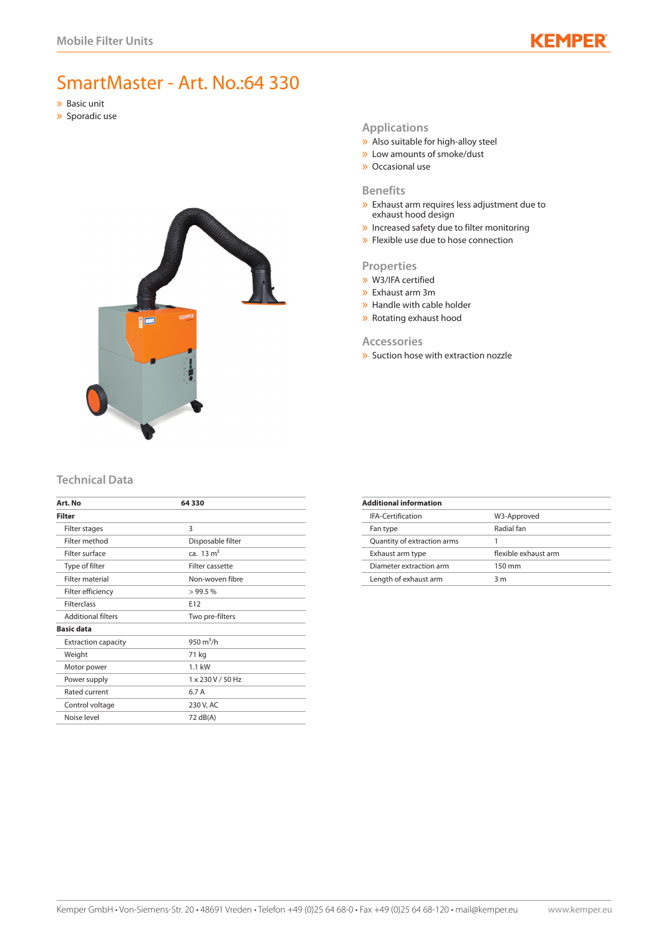# KEMP

# SmartMaster - Art. No.:64 330

- » Basic unit
- » Sporadic use



#### **Applications**

- » Also suitable for high-alloy steel
- » Low amounts of smoke/dust » Occasional use

## **Benefits**

- » Exhaust arm requires less adjustment due to exhaust hood design
- » Increased safety due to filter monitoring
- » Flexible use due to hose connection

#### **Properties**

- » W3/IFA certified
- » Exhaust arm 3m
- » Handle with cable holder
- » Rotating exhaust hood

#### **Accessories**

» Suction hose with extraction nozzle

## **Technical Data**

| Art. No                    | 64330                |
|----------------------------|----------------------|
| Filter                     |                      |
| Filter stages              | 3                    |
| Filter method              | Disposable filter    |
| Filter surface             | ca. $13 \text{ m}^2$ |
| Type of filter             | Filter cassette      |
| <b>Filter material</b>     | Non-woven fibre      |
| Filter efficiency          | >99.5%               |
| <b>Filterclass</b>         | E12                  |
| <b>Additional filters</b>  | Two pre-filters      |
| <b>Basic data</b>          |                      |
| <b>Extraction capacity</b> | 950 $m^3/h$          |
| Weight                     | 71 kg                |
| Motor power                | $1.1$ kW             |
| Power supply               | 1 x 230 V / 50 Hz    |
| Rated current              | 6.7 A                |
| Control voltage            | 230 V, AC            |
| Noise level                | 72 dB(A)             |

| W3-Approved          |
|----------------------|
| Radial fan           |
|                      |
| flexible exhaust arm |
| 150 mm               |
| 3 m                  |
|                      |